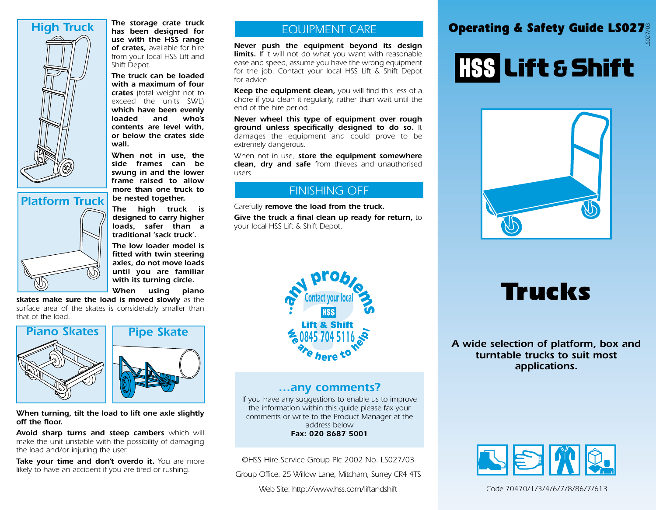

*Platform Truck*

*has been designed for use with the HSS range of crates, available for hire from your local HSS Lift and Shift Depot.*

*The truck can be loaded with a maximum of four crates (total weight not to exceed the units SWL) which have been evenly loaded and who's contents are level with, or below the crates side wall.*

*When not in use, the side frames can be swung in and the lower frame raised to allow more than one truck to be nested together.*

*The high truck is designed to carry higher loads, safer than a traditional 'sack truck'.*

*The low loader model is fitted with twin steering axles, do not move loads until you are familiar with its turning circle.*

*When using piano*

*skates make sure the load is moved slowly as the surface area of the skates is considerably smaller than that of the load.*



#### *When turning, tilt the load to lift one axle slightly off the floor.*

*Avoid sharp turns and steep cambers which will make the unit unstable with the possibility of damaging the load and/or injuring the user.*

*Take your time and don't overdo it. You are more likely to have an accident if you are tired or rushing.*

#### *EQUIPMENT CARE*

*Never push the equipment beyond its design limits. If it will not do what you want with reasonable ease and speed, assume you have the wrong equipment for the job. Contact your local HSS Lift & Shift Depot for advice.*

*Keep the equipment clean, you will find this less of a chore if you clean it regularly, rather than wait until the end of the hire period.*

*Never wheel this type of equipment over rough ground unless specifically designed to do so. It damages the equipment and could prove to be extremely dangerous.*

*When not in use, store the equipment somewhere clean, dry and safe from thieves and unauthorised users.*

#### *FINISHING OFF*

*Carefully remove the load from the truck.*

*Give the truck a final clean up ready for return, to your local HSS Lift & Shift Depot.*

#### The storage crate truck<br>has been designed for<br>**Deperating & Safety Guide LS027** *LS027/03*

# HSS Lift & Shift



## *Trucks*

*A wide selection of platform, box and turntable trucks to suit most applications.*



*Code 70470/1/3/4/6/7/8/86/7/613*



#### *…any comments?*

*If you have any suggestions to enable us to improve the information within this guide please fax your comments or write to the Product Manager at the address below Fax: 020 8687 5001*

*©HSS Hire Service Group Plc 2002 No. LS027/03*

*Group Office: 25 Willow Lane, Mitcham, Surrey CR4 4TS*

*Web Site: http://www.hss.com/liftandshift*